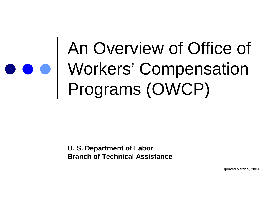### An Overview of Office of Workers' Compensation Programs (OWCP)

**U. S. Department of Labor Branch of Technical Assistance**

Updated March 9, 2004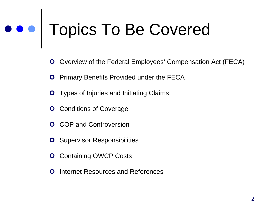# Topics To Be Covered

- Overview of the Federal Employees' Compensation Act (FECA)
- **O** Primary Benefits Provided under the FECA
- **O** Types of Injuries and Initiating Claims
- **O** Conditions of Coverage
- **O** COP and Controversion
- **O** Supervisor Responsibilities
- **O** Containing OWCP Costs
- **O** Internet Resources and References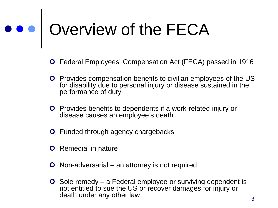## ooo Qverview of the FECA

- Federal Employees' Compensation Act (FECA) passed in 1916
- **O** Provides compensation benefits to civilian employees of the US for disability due to personal injury or disease sustained in the performance of duty
- **O** Provides benefits to dependents if a work-related injury or disease causes an employee's death
- **O** Funded through agency chargebacks
- **O** Remedial in nature
- Non-adversarial an attorney is not required
- $\bullet$  Sole remedy a Federal employee or surviving dependent is not entitled to sue the US or recover damages for injury or death under any other law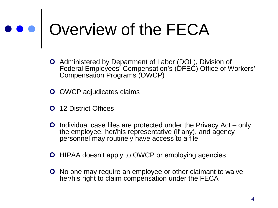### ooo Overview of the FECA

- Administered by Department of Labor (DOL), Division of Federal Employees' Compensation's (DFEC) Office of Workers' Compensation Programs (OWCP)
- **O** OWCP adjudicates claims
- **O** 12 District Offices
- **O** Individual case files are protected under the Privacy Act only the employee, her/his representative (if any), and agency personnel may routinely have access to a file
- **O** HIPAA doesn't apply to OWCP or employing agencies
- **O** No one may require an employee or other claimant to waive her/his right to claim compensation under the FECA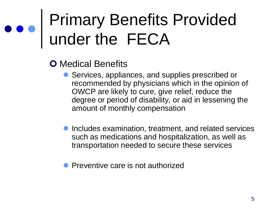- **O** Medical Benefits
	- Services, appliances, and supplies prescribed or recommended by physicians which in the opinion of OWCP are likely to cure, give relief, reduce the degree or period of disability, or aid in lessening the amount of monthly compensation
	- **Includes examination, treatment, and related services** such as medications and hospitalization, as well as transportation needed to secure these services
	- Preventive care is not authorized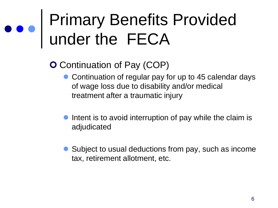- **O** Continuation of Pay (COP)
	- Continuation of regular pay for up to 45 calendar days of wage loss due to disability and/or medical treatment after a traumatic injury
	- Intent is to avoid interruption of pay while the claim is adjudicated
	- Subject to usual deductions from pay, such as income tax, retirement allotment, etc.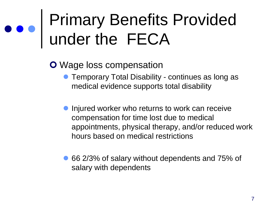**O** Wage loss compensation

- **Temporary Total Disability continues as long as** medical evidence supports total disability
- **Injured worker who returns to work can receive** compensation for time lost due to medical appointments, physical therapy, and/or reduced work hours based on medical restrictions
- 66 2/3% of salary without dependents and 75% of salary with dependents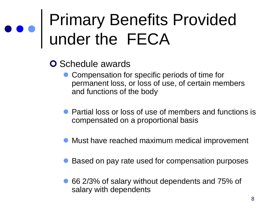- **O** Schedule awards
	- Compensation for specific periods of time for permanent loss, or loss of use, of certain members and functions of the body
	- Partial loss or loss of use of members and functions is compensated on a proportional basis
	- Must have reached maximum medical improvement
	- Based on pay rate used for compensation purposes
	- 66 2/3% of salary without dependents and 75% of salary with dependents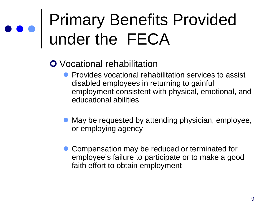- **O** Vocational rehabilitation
	- **Provides vocational rehabilitation services to assist** disabled employees in returning to gainful employment consistent with physical, emotional, and educational abilities
	- May be requested by attending physician, employee, or employing agency
	- Compensation may be reduced or terminated for employee's failure to participate or to make a good faith effort to obtain employment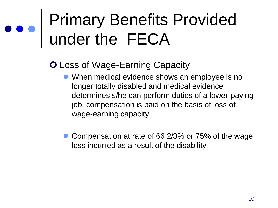#### **O Loss of Wage-Earning Capacity**

- When medical evidence shows an employee is no longer totally disabled and medical evidence determines s/he can perform duties of a lower-paying job, compensation is paid on the basis of loss of wage-earning capacity
- **Compensation at rate of 66 2/3% or 75% of the wage** loss incurred as a result of the disability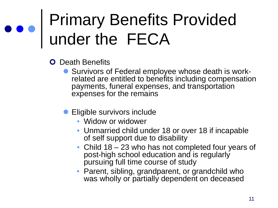- **O** Death Benefits
	- **Survivors of Federal employee whose death is work-** related are entitled to benefits including compensation payments, funeral expenses, and transportation expenses for the remains
	- **Eligible survivors include** 
		- Widow or widower
		- Unmarried child under 18 or over 18 if incapable of self support due to disability
		- Child 18 23 who has not completed four years of post-high school education and is regularly pursuing full time course of study
		- Parent, sibling, grandparent, or grandchild who was wholly or partially dependent on deceased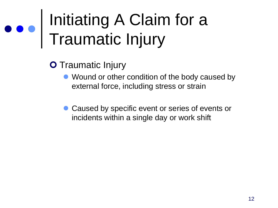### Initiating A Claim for a Traumatic Injury

- **O** Traumatic Injury
	- Wound or other condition of the body caused by external force, including stress or strain
	- Caused by specific event or series of events or incidents within a single day or work shift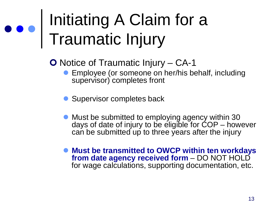### Initiating A Claim for a Traumatic Injury

O Notice of Traumatic Injury – CA-1

- **Employee (or someone on her/his behalf, including** supervisor) completes front
- Supervisor completes back
- Must be submitted to employing agency within 30 days of date of injury to be eligible for COP – however can be submitted up to three years after the injury
- **Must be transmitted to OWCP within ten workdays from date agency received form** – DO NOT HOLD for wage calculations, supporting documentation, etc.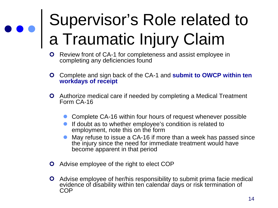### Supervisor's Role related to a Traumatic Injury Claim

- **O** Review front of CA-1 for completeness and assist employee in completing any deficiencies found
- Complete and sign back of the CA-1 and **submit to OWCP within ten workdays of receipt**
- Authorize medical care if needed by completing a Medical Treatment Form CA-16
	- Complete CA-16 within four hours of request whenever possible
	- **If doubt as to whether employee's condition is related to** employment, note this on the form
	- May refuse to issue a CA-16 if more than a week has passed since the injury since the need for immediate treatment would have become apparent in that period
- **O** Advise employee of the right to elect COP
- Advise employee of her/his responsibility to submit prima facie medical evidence of disability within ten calendar days or risk termination of COP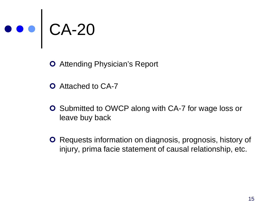

**O** Attending Physician's Report

- **O** Attached to CA-7
- **O** Submitted to OWCP along with CA-7 for wage loss or leave buy back
- **O** Requests information on diagnosis, prognosis, history of injury, prima facie statement of causal relationship, etc.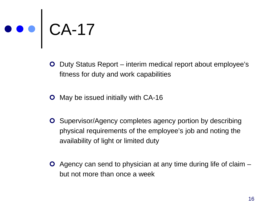## CA-17

- **O** Duty Status Report interim medical report about employee's fitness for duty and work capabilities
- **O** May be issued initially with CA-16
- **O** Supervisor/Agency completes agency portion by describing physical requirements of the employee's job and noting the availability of light or limited duty
- Agency can send to physician at any time during life of claim but not more than once a week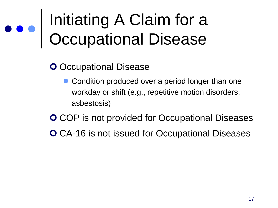### Initiating A Claim for a Occupational Disease

#### **O** Occupational Disease

- Condition produced over a period longer than one workday or shift (e.g., repetitive motion disorders, asbestosis)
- **O** COP is not provided for Occupational Diseases
- **O** CA-16 is not issued for Occupational Diseases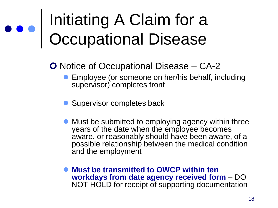### Initiating A Claim for a Occupational Disease

O Notice of Occupational Disease – CA-2

- **Employee (or someone on her/his behalf, including** supervisor) completes front
- Supervisor completes back
- Must be submitted to employing agency within three years of the date when the employee becomes aware, or reasonably should have been aware, of a possible relationship between the medical condition and the employment
- **Must be transmitted to OWCP within ten workdays from date agency received form** – DO NOT HOLD for receipt of supporting documentation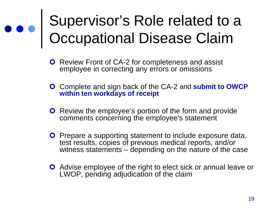#### Supervisor's Role related to a Occupational Disease Claim

- **O** Review Front of CA-2 for completeness and assist employee in correcting any errors or omissions
- Complete and sign back of the CA-2 and **submit to OWCP within ten workdays of receipt**
- **O** Review the employee's portion of the form and provide comments concerning the employee's statement
- **O** Prepare a supporting statement to include exposure data, test results, copies of previous medical reports, and/or witness statements – depending on the nature of the case
- Advise employee of the right to elect sick or annual leave or LWOP, pending adjudication of the claim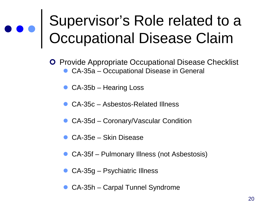#### Supervisor's Role related to a Occupational Disease Claim

- **O** Provide Appropriate Occupational Disease Checklist CA-35a – Occupational Disease in General
	- CA-35b Hearing Loss
	- CA-35c Asbestos-Related Illness
	- CA-35d Coronary/Vascular Condition
	- CA-35e Skin Disease
	- CA-35f Pulmonary Illness (not Asbestosis)
	- CA-35g Psychiatric Illness
	- CA-35h Carpal Tunnel Syndrome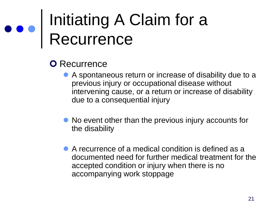### Initiating A Claim for a Recurrence

#### **O** Recurrence

- A spontaneous return or increase of disability due to a previous injury or occupational disease without intervening cause, or a return or increase of disability due to a consequential injury
- No event other than the previous injury accounts for the disability
- A recurrence of a medical condition is defined as a documented need for further medical treatment for the accepted condition or injury when there is no accompanying work stoppage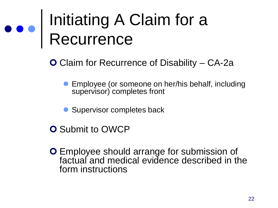### Initiating A Claim for a Recurrence

Claim for Recurrence of Disability – CA-2a

- **Employee (or someone on her/his behalf, including** supervisor) completes front
- Supervisor completes back
- **O** Submit to OWCP
- Employee should arrange for submission of factual and medical evidence described in the form instructions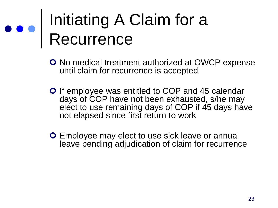### Initiating A Claim for a Recurrence

- **O** No medical treatment authorized at OWCP expense until claim for recurrence is accepted
- **O** If employee was entitled to COP and 45 calendar days of COP have not been exhausted, s/he may elect to use remaining days of COP if 45 days have not elapsed since first return to work
- **O** Employee may elect to use sick leave or annual leave pending adjudication of claim for recurrence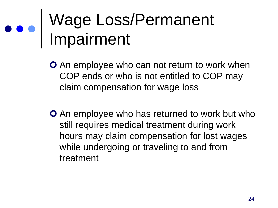### Wage Loss/Permanent Impairment

- **O** An employee who can not return to work when COP ends or who is not entitled to COP may claim compensation for wage loss
- **O** An employee who has returned to work but who still requires medical treatment during work hours may claim compensation for lost wages while undergoing or traveling to and from treatment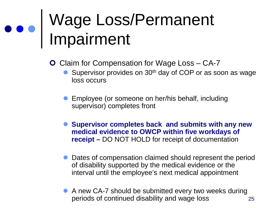### Wage Loss/Permanent Impairment

**O** Claim for Compensation for Wage Loss – CA-7

- $\bullet$  Supervisor provides on 30<sup>th</sup> day of COP or as soon as wage loss occurs
- **Employee (or someone on her/his behalf, including** supervisor) completes front
- **Supervisor completes back and submits with any new medical evidence to OWCP within five workdays of receipt –** DO NOT HOLD for receipt of documentation
- Dates of compensation claimed should represent the period of disability supported by the medical evidence or the interval until the employee's next medical appointment
- 25 A new CA-7 should be submitted every two weeks during periods of continued disability and wage loss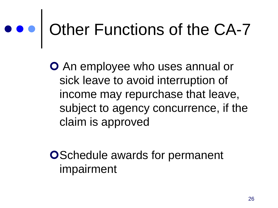### ooo Other Functions of the CA-7

**O** An employee who uses annual or sick leave to avoid interruption of income may repurchase that leave, subject to agency concurrence, if the claim is approved

**OSchedule awards for permanent** impairment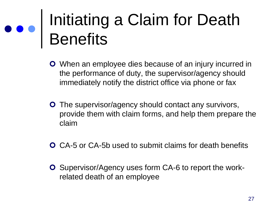### Initiating a Claim for Death **Benefits**

- When an employee dies because of an injury incurred in the performance of duty, the supervisor/agency should immediately notify the district office via phone or fax
- **O** The supervisor/agency should contact any survivors, provide them with claim forms, and help them prepare the claim
- CA-5 or CA-5b used to submit claims for death benefits
- **O** Supervisor/Agency uses form CA-6 to report the workrelated death of an employee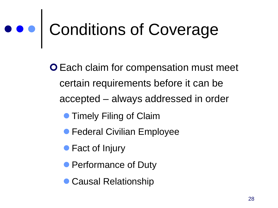### Conditions of Coverage

**O** Each claim for compensation must meet certain requirements before it can be accepted – always addressed in order

- **Timely Filing of Claim**
- **Federal Civilian Employee**
- Fact of Injury
- **Performance of Duty**
- **Causal Relationship**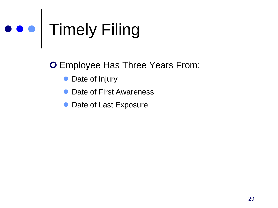## Timely Filing

**O** Employee Has Three Years From:

- Date of Injury
- Date of First Awareness
- Date of Last Exposure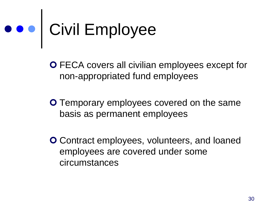## Civil Employee

 FECA covers all civilian employees except for non-appropriated fund employees

**O** Temporary employees covered on the same basis as permanent employees

**O** Contract employees, volunteers, and loaned employees are covered under some circumstances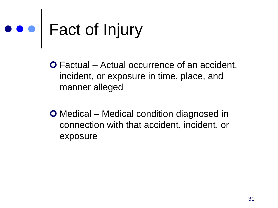# Fact of Injury

- Factual Actual occurrence of an accident, incident, or exposure in time, place, and manner alleged
- Medical Medical condition diagnosed in connection with that accident, incident, or exposure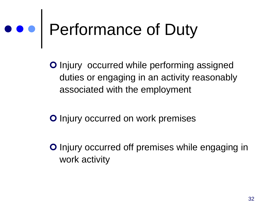## Performance of Duty

**O** Injury occurred while performing assigned duties or engaging in an activity reasonably associated with the employment

**O** Injury occurred on work premises

**O** Injury occurred off premises while engaging in work activity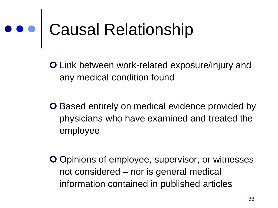### Causal Relationship

 Link between work-related exposure/injury and any medical condition found

- **O** Based entirely on medical evidence provided by physicians who have examined and treated the employee
- O Opinions of employee, supervisor, or witnesses not considered – nor is general medical information contained in published articles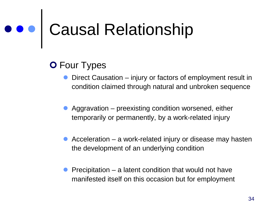# Causal Relationship

#### **O** Four Types

- Direct Causation injury or factors of employment result in condition claimed through natural and unbroken sequence
- Aggravation preexisting condition worsened, either temporarily or permanently, by a work-related injury
- Acceleration a work-related injury or disease may hasten the development of an underlying condition
- **Precipitation a latent condition that would not have** manifested itself on this occasion but for employment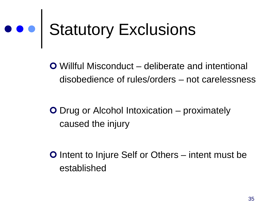# ooo Statutory Exclusions

 Willful Misconduct – deliberate and intentional disobedience of rules/orders – not carelessness

**O** Drug or Alcohol Intoxication – proximately caused the injury

**O** Intent to Injure Self or Others – intent must be established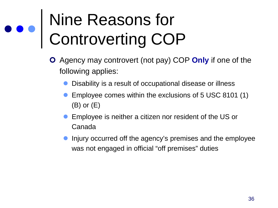### Nine Reasons for Controverting COP

- Agency may controvert (not pay) COP **Only** if one of the following applies:
	- Disability is a result of occupational disease or illness
	- **Employee comes within the exclusions of 5 USC 8101 (1)** (B) or (E)
	- **Employee is neither a citizen nor resident of the US or** Canada
	- **•** Injury occurred off the agency's premises and the employee was not engaged in official "off premises" duties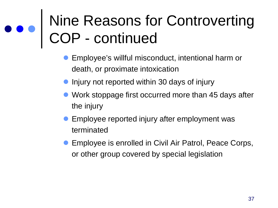#### Nine Reasons for Controverting COP - continued

- Employee's willful misconduct, intentional harm or death, or proximate intoxication
- Injury not reported within 30 days of injury
- Work stoppage first occurred more than 45 days after the injury
- Employee reported injury after employment was terminated
- **Employee is enrolled in Civil Air Patrol, Peace Corps,** or other group covered by special legislation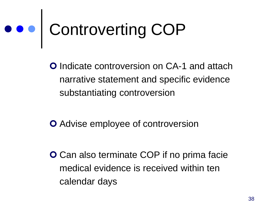# Controverting COP

**O** Indicate controversion on CA-1 and attach narrative statement and specific evidence substantiating controversion

- **O** Advise employee of controversion
- **O** Can also terminate COP if no prima facie medical evidence is received within ten calendar days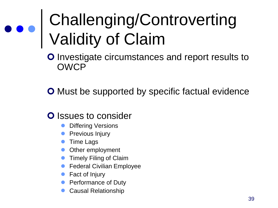### Challenging/Controverting Validity of Claim

**O** Investigate circumstances and report results to OWCP

**O** Must be supported by specific factual evidence

#### **O** Issues to consider

- Differing Versions
- **•** Previous Injury
- **Time Lags**
- Other employment
- **Timely Filing of Claim**
- **Federal Civilian Employee**
- Fact of Injury
- Performance of Duty
- Causal Relationship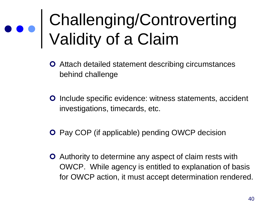### Challenging/Controverting Validity of a Claim

- Attach detailed statement describing circumstances behind challenge
- **O** Include specific evidence: witness statements, accident investigations, timecards, etc.
- **O** Pay COP (if applicable) pending OWCP decision
- Authority to determine any aspect of claim rests with OWCP. While agency is entitled to explanation of basis for OWCP action, it must accept determination rendered.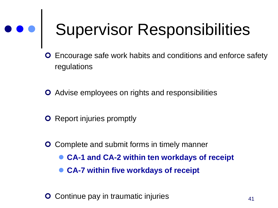# Supervisor Responsibilities

- Encourage safe work habits and conditions and enforce safety regulations
- Advise employees on rights and responsibilities
- **O** Report injuries promptly
- **O** Complete and submit forms in timely manner
	- **CA-1 and CA-2 within ten workdays of receipt**
	- **CA-7 within five workdays of receipt**
- **O** Continue pay in traumatic injuries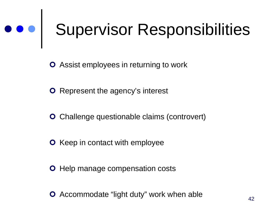# Supervisor Responsibilities

Assist employees in returning to work

- **O** Represent the agency's interest
- **O** Challenge questionable claims (controvert)
- **O** Keep in contact with employee
- **O** Help manage compensation costs
- **O** Accommodate "light duty" work when able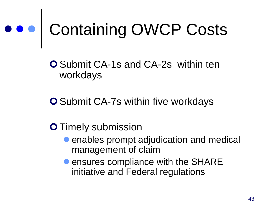**O** Submit CA-1s and CA-2s within ten workdays

**O** Submit CA-7s within five workdays

#### **O** Timely submission

- **enables prompt adjudication and medical** management of claim
- **ensures compliance with the SHARE** initiative and Federal regulations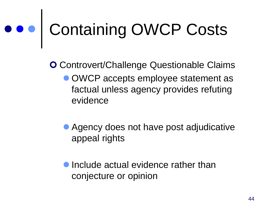## ooo | Containing OWCP Costs

**O** Controvert/Challenge Questionable Claims

- OWCP accepts employee statement as factual unless agency provides refuting evidence
- Agency does not have post adjudicative appeal rights
- **Include actual evidence rather than** conjecture or opinion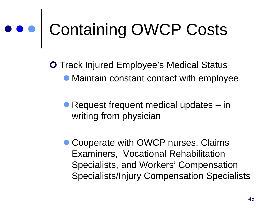**O** Track Injured Employee's Medical Status Maintain constant contact with employee

● Request frequent medical updates – in writing from physician

• Cooperate with OWCP nurses, Claims Examiners, Vocational Rehabilitation Specialists, and Workers' Compensation Specialists/Injury Compensation Specialists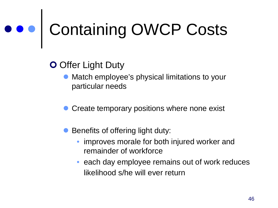#### **O** Offer Light Duty

- Match employee's physical limitations to your particular needs
- Create temporary positions where none exist
- Benefits of offering light duty:
	- improves morale for both injured worker and remainder of workforce
	- each day employee remains out of work reduces likelihood s/he will ever return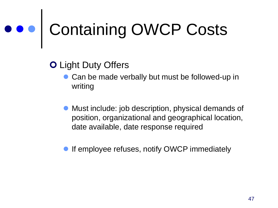#### **O** Light Duty Offers

- Can be made verbally but must be followed-up in writing
- Must include: job description, physical demands of position, organizational and geographical location, date available, date response required
- If employee refuses, notify OWCP immediately